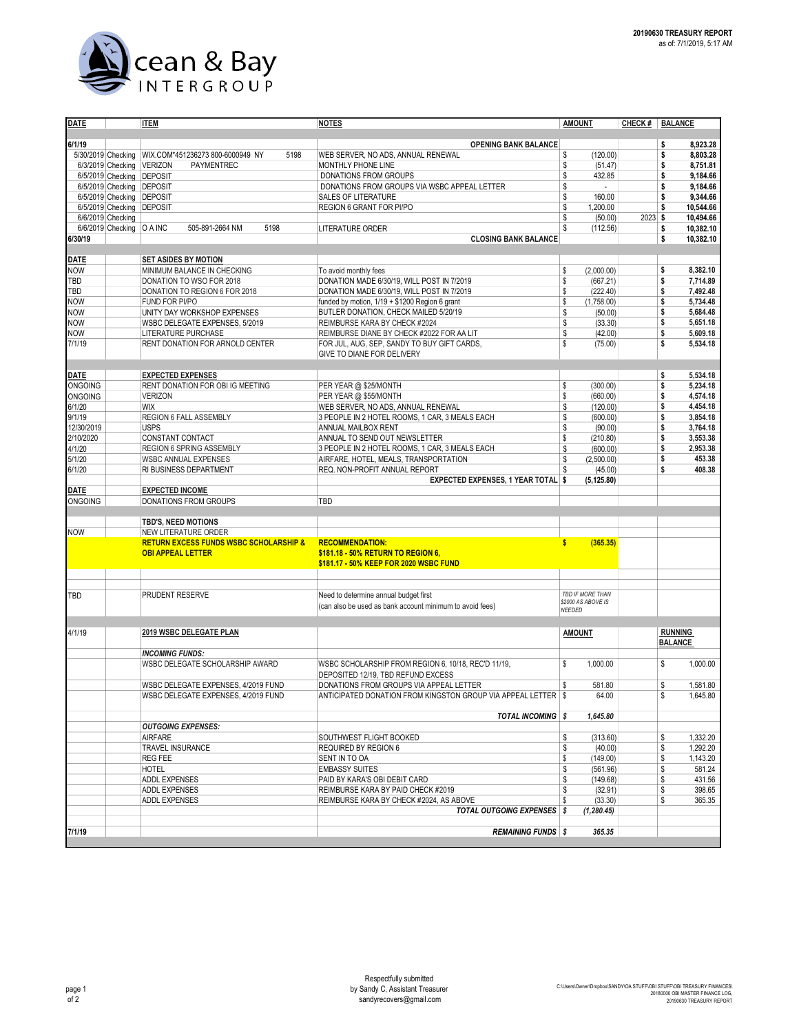

| <b>DATE</b>    |                             | <b>ITEM</b>                                       | <u>NOTES</u>                                                    | <b>AMOUNT</b>            | CHECK #   BALANCE |                                  |
|----------------|-----------------------------|---------------------------------------------------|-----------------------------------------------------------------|--------------------------|-------------------|----------------------------------|
|                |                             |                                                   |                                                                 |                          |                   |                                  |
| 6/1/19         |                             |                                                   | <b>OPENING BANK BALANCE</b>                                     |                          |                   | 8.923.28<br>\$                   |
|                | 5/30/2019 Checking          | WIX.COM*451236273 800-6000949 NY<br>5198          | WEB SERVER, NO ADS, ANNUAL RENEWAL                              | \$<br>(120.00)           |                   | 8,803.28<br>\$                   |
|                | 6/3/2019 Checking           | <b>VERIZON</b><br>PAYMENTREC                      | MONTHLY PHONE LINE                                              | \$<br>(51.47)            |                   | \$<br>8,751.81                   |
|                | 6/5/2019 Checking           | <b>DEPOSIT</b>                                    | DONATIONS FROM GROUPS                                           | \$<br>432.85             |                   | \$<br>9,184.66                   |
|                | 6/5/2019 Checking           | <b>DEPOSIT</b>                                    | DONATIONS FROM GROUPS VIA WSBC APPEAL LETTER                    | \$                       |                   | 9,184.66<br>\$                   |
|                | 6/5/2019 Checking           | <b>DEPOSIT</b>                                    | SALES OF LITERATURE                                             | \$<br>160.00             |                   | 9,344.66<br>\$                   |
|                | 6/5/2019 Checking           | <b>DEPOSIT</b>                                    | REGION 6 GRANT FOR PI/PO                                        | \$<br>1,200.00           |                   | 10,544.66<br>\$                  |
|                | 6/6/2019 Checking           |                                                   |                                                                 | \$<br>(50.00)            | $2023$ \$         | 10,494.66                        |
|                | 6/6/2019 Checking   O A INC | 505-891-2664 NM<br>5198                           | LITERATURE ORDER                                                | \$<br>(112.56)           |                   | \$<br>10,382.10                  |
| 6/30/19        |                             |                                                   | <b>CLOSING BANK BALANCE</b>                                     |                          |                   | \$<br>10,382.10                  |
|                |                             |                                                   |                                                                 |                          |                   |                                  |
| <b>DATE</b>    |                             | <b>SET ASIDES BY MOTION</b>                       |                                                                 |                          |                   |                                  |
| <b>NOW</b>     |                             | MINIMUM BALANCE IN CHECKING                       | To avoid monthly fees                                           | \$<br>(2,000.00)         |                   | \$<br>8,382.10                   |
| TBD            |                             | DONATION TO WSO FOR 2018                          | DONATION MADE 6/30/19, WILL POST IN 7/2019                      | \$<br>(667.21)           |                   | \$<br>7,714.89                   |
| TBD            |                             | DONATION TO REGION 6 FOR 2018                     | DONATION MADE 6/30/19, WILL POST IN 7/2019                      | \$<br>(222.40)           |                   | \$<br>7,492.48                   |
| <b>NOW</b>     |                             | FUND FOR PI/PO                                    | funded by motion, 1/19 + \$1200 Region 6 grant                  | \$<br>(1,758.00)         |                   | \$<br>5,734.48                   |
| <b>NOW</b>     |                             | UNITY DAY WORKSHOP EXPENSES                       | BUTLER DONATION, CHECK MAILED 5/20/19                           | \$<br>(50.00)            |                   | \$<br>5,684.48                   |
| <b>NOW</b>     |                             | WSBC DELEGATE EXPENSES, 5/2019                    | REIMBURSE KARA BY CHECK #2024                                   | \$<br>(33.30)            |                   | \$<br>5,651.18                   |
| <b>NOW</b>     |                             | LITERATURE PURCHASE                               | REIMBURSE DIANE BY CHECK #2022 FOR AA LIT                       | \$<br>(42.00)            |                   | \$<br>5,609.18                   |
| 7/1/19         |                             | RENT DONATION FOR ARNOLD CENTER                   | FOR JUL, AUG, SEP, SANDY TO BUY GIFT CARDS,                     | \$<br>(75.00)            |                   | \$<br>5,534.18                   |
|                |                             |                                                   | GIVE TO DIANE FOR DELIVERY                                      |                          |                   |                                  |
|                |                             |                                                   |                                                                 |                          |                   |                                  |
| DATE           |                             | <b>EXPECTED EXPENSES</b>                          |                                                                 |                          |                   | 5,534.18<br>\$                   |
| <b>ONGOING</b> |                             | RENT DONATION FOR OBI IG MEETING                  | PER YEAR @ \$25/MONTH                                           | \$<br>(300.00)           |                   | \$<br>5,234.18                   |
| <b>ONGOING</b> |                             | <b>VERIZON</b>                                    | PER YEAR @ \$55/MONTH                                           | \$<br>(660.00)           |                   | 4,574.18<br>\$                   |
| 6/1/20         |                             | <b>WIX</b>                                        | WEB SERVER, NO ADS, ANNUAL RENEWAL                              | \$<br>(120.00)           |                   | \$<br>4,454.18                   |
| 9/1/19         |                             | REGION 6 FALL ASSEMBLY                            | 3 PEOPLE IN 2 HOTEL ROOMS, 1 CAR, 3 MEALS EACH                  | \$<br>(600.00)           |                   | \$<br>3.854.18                   |
| 12/30/2019     |                             | <b>USPS</b>                                       | ANNUAL MAILBOX RENT                                             | \$<br>(90.00)            |                   | 3,764.18<br>\$                   |
| 2/10/2020      |                             | CONSTANT CONTACT                                  | ANNUAL TO SEND OUT NEWSLETTER                                   | \$<br>(210.80)           |                   | \$<br>3,553.38                   |
| 4/1/20         |                             | REGION 6 SPRING ASSEMBLY                          | 3 PEOPLE IN 2 HOTEL ROOMS, 1 CAR, 3 MEALS EACH                  | \$<br>(600.00)           |                   | \$<br>2,953.38                   |
| 5/1/20         |                             | <b>WSBC ANNUAL EXPENSES</b>                       | AIRFARE, HOTEL, MEALS, TRANSPORTATION                           | \$<br>(2,500.00)         |                   | \$<br>453.38                     |
| 6/1/20         |                             | RI BUSINESS DEPARTMENT                            | REQ. NON-PROFIT ANNUAL REPORT                                   | S<br>(45.00)             |                   | \$<br>408.38                     |
|                |                             |                                                   | EXPECTED EXPENSES, 1 YEAR TOTAL \$                              | (5, 125.80)              |                   |                                  |
| <b>DATE</b>    |                             | <b>EXPECTED INCOME</b>                            |                                                                 |                          |                   |                                  |
| <b>ONGOING</b> |                             | DONATIONS FROM GROUPS                             | TBD                                                             |                          |                   |                                  |
|                |                             | TBD'S, NEED MOTIONS                               |                                                                 |                          |                   |                                  |
| <b>NOW</b>     |                             | NEW LITERATURE ORDER                              |                                                                 |                          |                   |                                  |
|                |                             | <b>RETURN EXCESS FUNDS WSBC SCHOLARSHIP &amp;</b> | <b>RECOMMENDATION:</b>                                          | $\mathbf{s}$<br>(365.35) |                   |                                  |
|                |                             | <b>OBI APPEAL LETTER</b>                          | \$181.18 - 50% RETURN TO REGION 6,                              |                          |                   |                                  |
|                |                             |                                                   | \$181.17 - 50% KEEP FOR 2020 WSBC FUND                          |                          |                   |                                  |
|                |                             |                                                   |                                                                 |                          |                   |                                  |
|                |                             |                                                   |                                                                 |                          |                   |                                  |
| TBD            |                             | PRUDENT RESERVE                                   | Need to determine annual budget first                           | TBD IF MORE THAN         |                   |                                  |
|                |                             |                                                   | (can also be used as bank account minimum to avoid fees)        | \$2000 AS ABOVE IS       |                   |                                  |
|                |                             |                                                   |                                                                 | NEEDED                   |                   |                                  |
|                |                             |                                                   |                                                                 |                          |                   |                                  |
| 4/1/19         |                             | 2019 WSBC DELEGATE PLAN                           |                                                                 | <b>AMOUNT</b>            |                   | <b>RUNNING</b><br><b>BALANCE</b> |
|                |                             | <b>INCOMING FUNDS:</b>                            |                                                                 |                          |                   |                                  |
|                |                             | WSBC DELEGATE SCHOLARSHIP AWARD                   | WSBC SCHOLARSHIP FROM REGION 6, 10/18, REC'D 11/19,             | \$<br>1,000.00           |                   | \$<br>1,000.00                   |
|                |                             |                                                   | DEPOSITED 12/19, TBD REFUND EXCESS                              |                          |                   |                                  |
|                |                             | WSBC DELEGATE EXPENSES, 4/2019 FUND               | DONATIONS FROM GROUPS VIA APPEAL LETTER                         | S<br>581.80              |                   | \$<br>1,581.80                   |
|                |                             | WSBC DELEGATE EXPENSES, 4/2019 FUND               | ANTICIPATED DONATION FROM KINGSTON GROUP VIA APPEAL LETTER \ \$ | 64.00                    |                   | \$<br>1,645.80                   |
|                |                             |                                                   |                                                                 |                          |                   |                                  |
|                |                             |                                                   | <b>TOTAL INCOMING \$</b>                                        | 1,645.80                 |                   |                                  |
|                |                             | <b>OUTGOING EXPENSES:</b>                         |                                                                 |                          |                   |                                  |
|                |                             | <b>AIRFARE</b>                                    | SOUTHWEST FLIGHT BOOKED                                         | \$<br>(313.60)           |                   | 1,332.20<br>\$                   |
|                |                             | TRAVEL INSURANCE                                  | REQUIRED BY REGION 6                                            | \$<br>(40.00)            |                   | \$<br>1,292.20                   |
|                |                             | <b>REG FEE</b>                                    | SENT IN TO OA                                                   | \$<br>(149.00)           |                   | \$<br>1,143.20                   |
|                |                             | HOTEL                                             | <b>EMBASSY SUITES</b>                                           | \$<br>(561.96)           |                   | \$<br>581.24                     |
|                |                             | <b>ADDL EXPENSES</b>                              | PAID BY KARA'S OBI DEBIT CARD                                   | \$<br>(149.68)           |                   | \$<br>431.56                     |
|                |                             | ADDL EXPENSES                                     | REIMBURSE KARA BY PAID CHECK #2019                              | \$<br>(32.91)            |                   | \$<br>398.65                     |
|                |                             | ADDL EXPENSES                                     | REIMBURSE KARA BY CHECK #2024. AS ABOVE                         | \$<br>(33.30)            |                   | \$<br>365.35                     |
|                |                             |                                                   | <b>TOTAL OUTGOING EXPENSES</b> \$                               | (1, 280.45)              |                   |                                  |
|                |                             |                                                   |                                                                 |                          |                   |                                  |
| 7/1/19         |                             |                                                   | <b>REMAINING FUNDS \$</b>                                       | 365.35                   |                   |                                  |
|                |                             |                                                   |                                                                 |                          |                   |                                  |